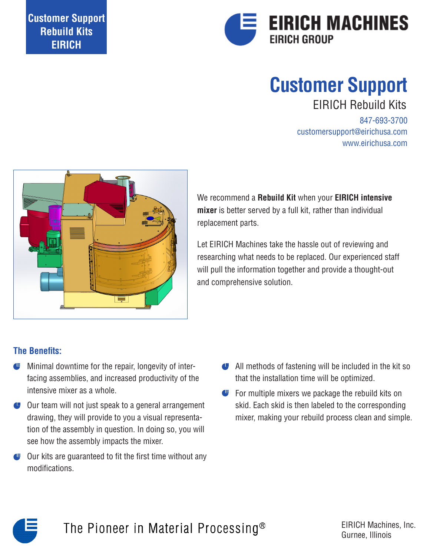

# EIRICH Rebuild Kits **Customer Support**

847-693-3700 customersupport@eirichusa.com www.eirichusa.com



We recommend a **Rebuild Kit** when your **EIRICH intensive mixer** is better served by a full kit, rather than individual replacement parts.

Let EIRICH Machines take the hassle out of reviewing and researching what needs to be replaced. Our experienced staff will pull the information together and provide a thought-out and comprehensive solution.

#### **The Benefits:**

- Minimal downtime for the repair, longevity of interfacing assemblies, and increased productivity of the intensive mixer as a whole.
- Our team will not just speak to a general arrangement drawing, they will provide to you a visual representation of the assembly in question. In doing so, you will see how the assembly impacts the mixer.
- Our kits are guaranteed to fit the first time without any modifications.
- All methods of fastening will be included in the kit so that the installation time will be optimized.
- For multiple mixers we package the rebuild kits on skid. Each skid is then labeled to the corresponding mixer, making your rebuild process clean and simple.



The Pioneer in Material Processing<sup>®</sup>

EIRICH Machines, Inc. Gurnee, Illinois